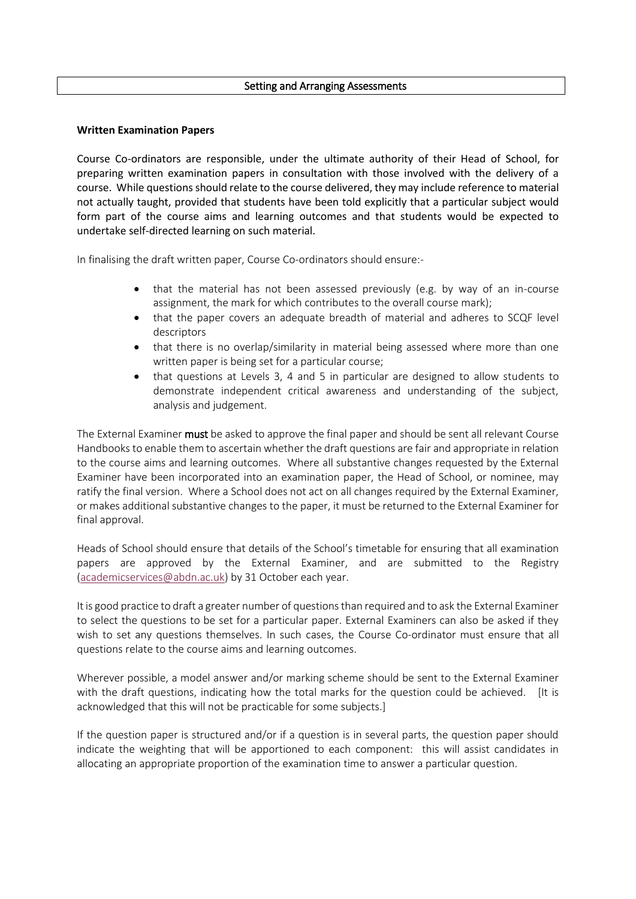#### Setting and Arranging Assessments

#### **Written Examination Papers**

Course Co-ordinators are responsible, under the ultimate authority of their Head of School, for preparing written examination papers in consultation with those involved with the delivery of a course. While questions should relate to the course delivered, they may include reference to material not actually taught, provided that students have been told explicitly that a particular subject would form part of the course aims and learning outcomes and that students would be expected to undertake self-directed learning on such material.

In finalising the draft written paper, Course Co-ordinators should ensure:-

- that the material has not been assessed previously (e.g. by way of an in-course assignment, the mark for which contributes to the overall course mark);
- that the paper covers an adequate breadth of material and adheres to SCQF level descriptors
- that there is no overlap/similarity in material being assessed where more than one written paper is being set for a particular course;
- that questions at Levels 3, 4 and 5 in particular are designed to allow students to demonstrate independent critical awareness and understanding of the subject, analysis and judgement.

The External Examiner **must** be asked to approve the final paper and should be sent all relevant Course Handbooks to enable them to ascertain whether the draft questions are fair and appropriate in relation to the course aims and learning outcomes. Where all substantive changes requested by the External Examiner have been incorporated into an examination paper, the Head of School, or nominee, may ratify the final version. Where a School does not act on all changes required by the External Examiner, or makes additional substantive changes to the paper, it must be returned to the External Examiner for final approval.

Heads of School should ensure that details of the School's timetable for ensuring that all examination papers are approved by the External Examiner, and are submitted to the Registry [\(academicservices@abdn.ac.uk\)](mailto:academicservices@abdn.ac.uk) by 31 October each year.

It is good practice to draft a greater number of questions than required and to ask the External Examiner to select the questions to be set for a particular paper. External Examiners can also be asked if they wish to set any questions themselves. In such cases, the Course Co-ordinator must ensure that all questions relate to the course aims and learning outcomes.

Wherever possible, a model answer and/or marking scheme should be sent to the External Examiner with the draft questions, indicating how the total marks for the question could be achieved. [It is acknowledged that this will not be practicable for some subjects.]

If the question paper is structured and/or if a question is in several parts, the question paper should indicate the weighting that will be apportioned to each component: this will assist candidates in allocating an appropriate proportion of the examination time to answer a particular question.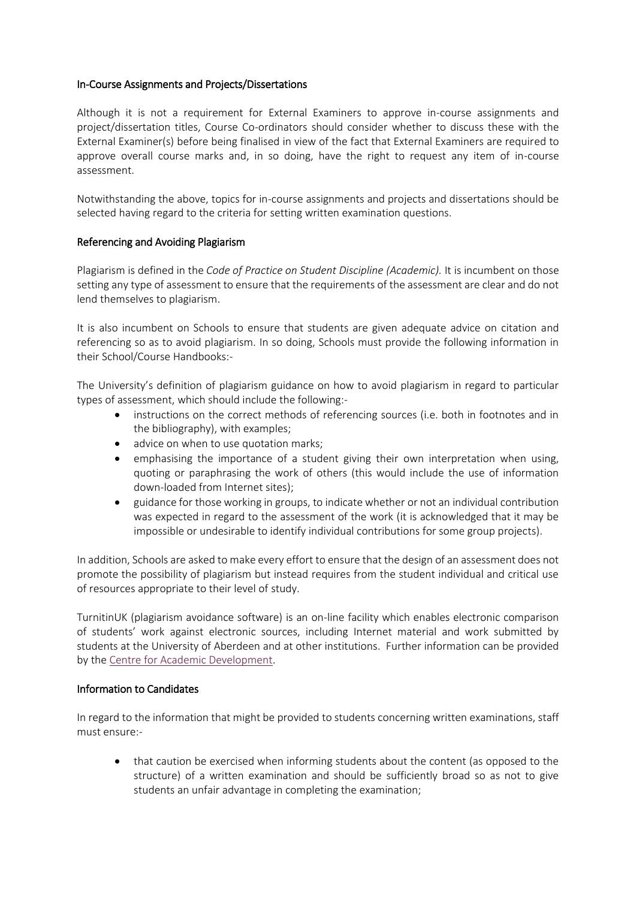## In-Course Assignments and Projects/Dissertations

Although it is not a requirement for External Examiners to approve in-course assignments and project/dissertation titles, Course Co-ordinators should consider whether to discuss these with the External Examiner(s) before being finalised in view of the fact that External Examiners are required to approve overall course marks and, in so doing, have the right to request any item of in-course assessment.

Notwithstanding the above, topics for in-course assignments and projects and dissertations should be selected having regard to the criteria for setting written examination questions.

# Referencing and Avoiding Plagiarism

Plagiarism is defined in the *Code of Practice on Student Discipline (Academic).* It is incumbent on those setting any type of assessment to ensure that the requirements of the assessment are clear and do not lend themselves to plagiarism.

It is also incumbent on Schools to ensure that students are given adequate advice on citation and referencing so as to avoid plagiarism. In so doing, Schools must provide the following information in their School/Course Handbooks:-

The University's definition of plagiarism guidance on how to avoid plagiarism in regard to particular types of assessment, which should include the following:-

- instructions on the correct methods of referencing sources (i.e. both in footnotes and in the bibliography), with examples;
- advice on when to use quotation marks;
- emphasising the importance of a student giving their own interpretation when using, quoting or paraphrasing the work of others (this would include the use of information down-loaded from Internet sites);
- guidance for those working in groups, to indicate whether or not an individual contribution was expected in regard to the assessment of the work (it is acknowledged that it may be impossible or undesirable to identify individual contributions for some group projects).

In addition, Schools are asked to make every effort to ensure that the design of an assessment does not promote the possibility of plagiarism but instead requires from the student individual and critical use of resources appropriate to their level of study.

TurnitinUK (plagiarism avoidance software) is an on-line facility which enables electronic comparison of students' work against electronic sources, including Internet material and work submitted by students at the University of Aberdeen and at other institutions. Further information can be provided by th[e Centre for Academic Development.](http://www.abdn.ac.uk/cad/)

## Information to Candidates

In regard to the information that might be provided to students concerning written examinations, staff must ensure:-

• that caution be exercised when informing students about the content (as opposed to the structure) of a written examination and should be sufficiently broad so as not to give students an unfair advantage in completing the examination;